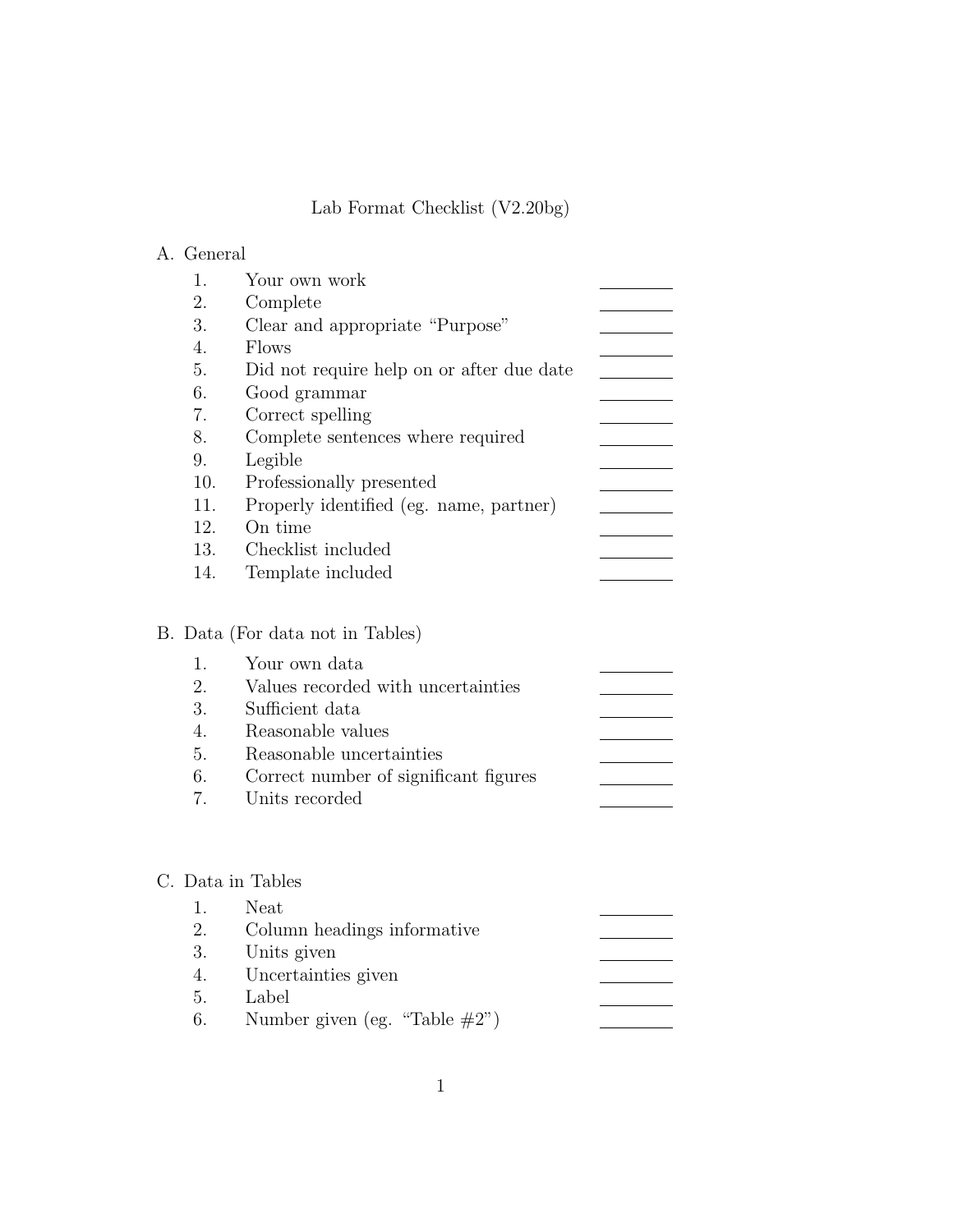# Lab Format Checklist (V2.20bg)

# A. General

|     | Your own work                             |  |
|-----|-------------------------------------------|--|
| 2.  | Complete                                  |  |
| 3.  | Clear and appropriate "Purpose"           |  |
| 4.  | Flows                                     |  |
| 5.  | Did not require help on or after due date |  |
| 6.  | Good grammar                              |  |
| 7.  | Correct spelling                          |  |
| 8.  | Complete sentences where required         |  |
| 9.  | Legible                                   |  |
| 10. | Professionally presented                  |  |
| 11. | Properly identified (eg. name, partner)   |  |
| 12. | On time                                   |  |
| 13. | Checklist included                        |  |
| 14. | Template included                         |  |

# B. Data (For data not in Tables)

|                  | 1. Your own data                      |  |
|------------------|---------------------------------------|--|
| 2.               | Values recorded with uncertainties    |  |
| 3.               | Sufficient data                       |  |
| $\overline{4}$ . | Reasonable values                     |  |
| 5.               | Reasonable uncertainties              |  |
| 6.               | Correct number of significant figures |  |
| 7.               | Units recorded                        |  |

#### C. Data in Tables

| $\mathbf{1}$ . | Neat                              |  |
|----------------|-----------------------------------|--|
| 2.             | Column headings informative       |  |
| 3.             | Units given                       |  |
|                | 4. Uncertainties given            |  |
| 5.             | Label                             |  |
| 6.             | Number given (eg. "Table $\#2$ ") |  |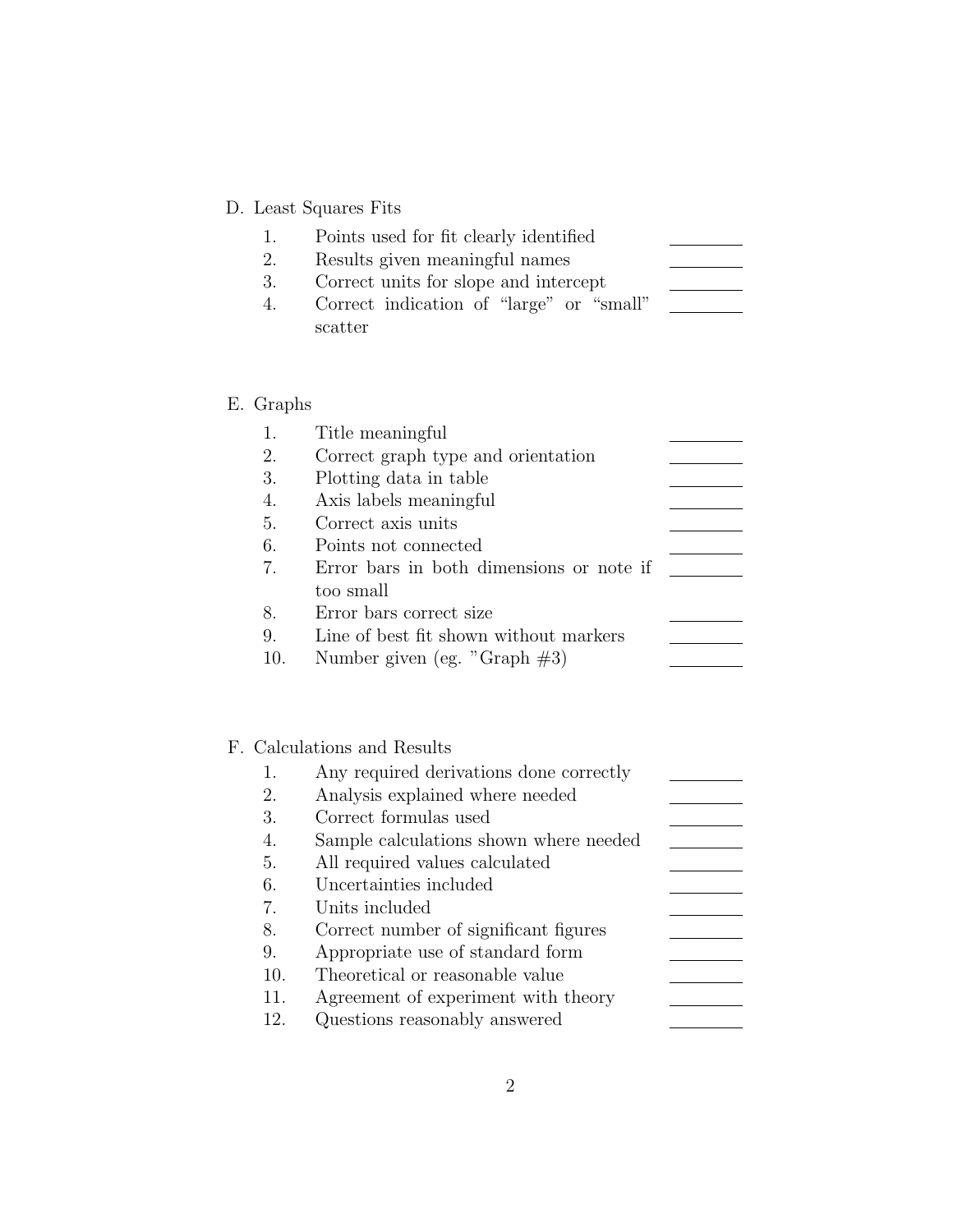# D. Least Squares Fits

| 1. | Points used for fit clearly identified   |  |
|----|------------------------------------------|--|
| 2. | Results given meaningful names           |  |
| 3. | Correct units for slope and intercept    |  |
| 4. | Correct indication of "large" or "small" |  |
|    | scatter                                  |  |

# E. Graphs

| 1.  | Title meaningful                         |  |
|-----|------------------------------------------|--|
| 2.  | Correct graph type and orientation       |  |
| 3.  | Plotting data in table                   |  |
| 4.  | Axis labels meaningful                   |  |
| 5.  | Correct axis units                       |  |
| 6.  | Points not connected                     |  |
| 7.  | Error bars in both dimensions or note if |  |
|     | too small                                |  |
| 8.  | Error bars correct size                  |  |
| 9.  | Line of best fit shown without markers   |  |
| 10. | Number given (eg. "Graph $\#3$ )         |  |

# F. Calculations and Results

| 1.  | Any required derivations done correctly |  |
|-----|-----------------------------------------|--|
| 2.  | Analysis explained where needed         |  |
| 3.  | Correct formulas used                   |  |
| 4.  | Sample calculations shown where needed  |  |
| 5.  | All required values calculated          |  |
| 6.  | Uncertainties included                  |  |
| 7.  | Units included                          |  |
| 8.  | Correct number of significant figures   |  |
| 9.  | Appropriate use of standard form        |  |
| 10. | Theoretical or reasonable value         |  |
| 11. | Agreement of experiment with theory     |  |
| 12. | Questions reasonably answered           |  |